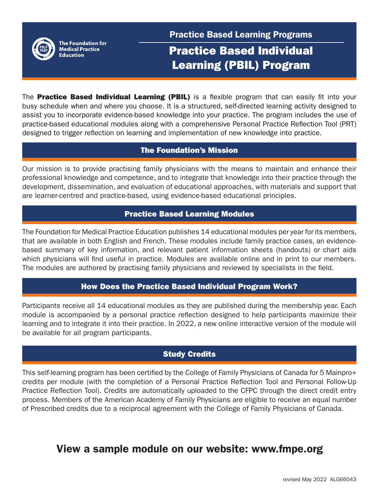

The Foundation for **Medical Practice Education** 

Practice Based Learning Programs

# Practice Based Individual Learning (PBIL) Program

The **Practice Based Individual Learning (PBIL)** is a flexible program that can easily fit into your busy schedule when and where you choose. It is a structured, self-directed learning activity designed to assist you to incorporate evidence-based knowledge into your practice. The program includes the use of practice-based educational modules along with a comprehensive Personal Practice Reflection Tool (PRT) designed to trigger reflection on learning and implementation of new knowledge into practice.

## The Foundation's Mission

Our mission is to provide practising family physicians with the means to maintain and enhance their professional knowledge and competence, and to integrate that knowledge into their practice through the development, dissemination, and evaluation of educational approaches, with materials and support that are learner-centred and practice-based, using evidence-based educational principles.

## Practice Based Learning Modules

The Foundation for Medical Practice Education publishes 14 educational modules per year for its members, that are available in both English and French. These modules include family practice cases, an evidencebased summary of key information, and relevant patient information sheets (handouts) or chart aids which physicians will find useful in practice. Modules are available online and in print to our members. The modules are authored by practising family physicians and reviewed by specialists in the field.

# How Does the Practice Based Individual Program Work?

Participants receive all 14 educational modules as they are published during the membership year. Each module is accompanied by a personal practice reflection designed to help participants maximize their learning and to integrate it into their practice. In 2022, a new online interactive version of the module will be available for all program participants.

# Study Credits

This self-learning program has been certified by the College of Family Physicians of Canada for 5 Mainpro+ credits per module (with the completion of a Personal Practice Reflection Tool and Personal Follow-Up Practice Reflection Tool). Credits are automatically uploaded to the CFPC through the direct credit entry process. Members of the American Academy of Family Physicians are eligible to receive an equal number of Prescribed credits due to a reciprocal agreement with the College of Family Physicians of Canada.

# View a sample module on our website: www.fmpe.org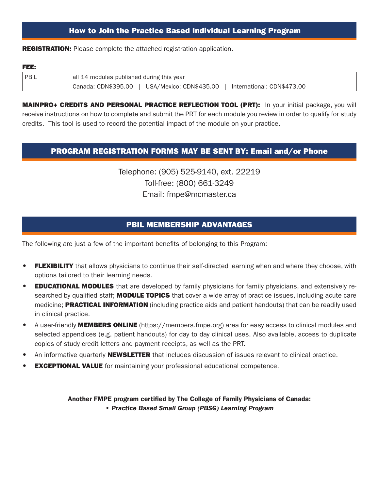### How to Join the Practice Based Individual Learning Program

**REGISTRATION:** Please complete the attached registration application.

#### FEE:

l.

| <sup>I</sup> PBIL | all 14 modules published during this year                                    |  |  |  |
|-------------------|------------------------------------------------------------------------------|--|--|--|
|                   | Canada: CDN\$395.00<br>USA/Mexico: CDN\$435.00<br>International: CDN\$473.00 |  |  |  |

**MAINPRO+ CREDITS AND PERSONAL PRACTICE REFLECTION TOOL (PRT):** In your initial package, you will receive instructions on how to complete and submit the PRT for each module you review in order to qualify for study credits. This tool is used to record the potential impact of the module on your practice.

#### PROGRAM REGISTRATION FORMS MAY BE SENT BY: Email and/or Phone

Telephone: (905) 525-9140, ext. 22219 Toll-free: (800) 661-3249 Email: fmpe@mcmaster.ca

### PBIL MEMBERSHIP ADVANTAGES

The following are just a few of the important benefits of belonging to this Program:

- FLEXIBILITY that allows physicians to continue their self-directed learning when and where they choose, with options tailored to their learning needs.
- **EDUCATIONAL MODULES** that are developed by family physicians for family physicians, and extensively researched by qualified staff; **MODULE TOPICS** that cover a wide array of practice issues, including acute care medicine; **PRACTICAL INFORMATION** (including practice aids and patient handouts) that can be readily used in clinical practice.
- A user-friendly **MEMBERS ONLINE** (https://members.fmpe.org) area for easy access to clinical modules and selected appendices (e.g. patient handouts) for day to day clinical uses. Also available, access to duplicate copies of study credit letters and payment receipts, as well as the PRT.
- An informative quarterly **NEWSLETTER** that includes discussion of issues relevant to clinical practice.
- **EXCEPTIONAL VALUE** for maintaining your professional educational competence.

Another FMPE program certified by The College of Family Physicians of Canada: *• Practice Based Small Group (PBSG) Learning Program*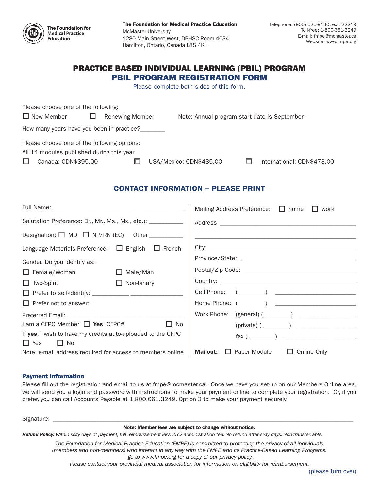

The Foundation for Medical Practice Education McMaster University 1280 Main Street West, DBHSC Room 4034 Hamilton, Ontario, Canada L8S 4K1

#### PRACTICE BASED INDIVIDUAL LEARNING (PBIL) PROGRAM PBIL PROGRAM REGISTRATION FORM

Please complete both sides of this form.

| Please choose one of the following:                                                                                       |                        |                         |                                              |
|---------------------------------------------------------------------------------------------------------------------------|------------------------|-------------------------|----------------------------------------------|
| $\Box$ New Member                                                                                                         | <b>Renewing Member</b> |                         | Note: Annual program start date is September |
| How many years have you been in practice?                                                                                 |                        |                         |                                              |
| Please choose one of the following options:<br>All 14 modules published during this year<br>Canada: CDN\$395.00<br>$\Box$ |                        | USA/Mexico: CDN\$435.00 | International: CDN\$473.00                   |

## CONTACT INFORMATION – PLEASE PRINT

|                                                               | Mailing Address Preference: $\Box$ home $\Box$ work       |
|---------------------------------------------------------------|-----------------------------------------------------------|
| Salutation Preference: Dr., Mr., Ms., Mx., etc.): ___________ |                                                           |
| Designation: $\Box$ MD $\Box$ NP/RN (EC) Other __________     |                                                           |
| Language Materials Preference: $\Box$ English $\Box$ French   |                                                           |
| Gender. Do you identify as:                                   |                                                           |
| $\Box$ Female/Woman<br>$\Box$ Male/Man                        |                                                           |
| $\Box$ Non-binary<br>$\Box$ Two-Spirit                        |                                                           |
|                                                               |                                                           |
| $\Box$ Prefer not to answer:                                  |                                                           |
|                                                               |                                                           |
| $I$ am a CFPC Member $\Box$ Yes CFPC# $\Box$ $\Box$ No        | $(private)$ ( $\qquad \qquad$ )                           |
| If yes, I wish to have my credits auto-uploaded to the CFPC   |                                                           |
| $\Box$ Yes<br>$\Box$ No                                       |                                                           |
| Note: e-mail address required for access to members online    | $\Box$ Paper Module $\Box$ Online Only<br><b>Mailout:</b> |

#### Payment Information

Please fill out the registration and email to us at fmpe@mcmaster.ca. Once we have you set-up on our Members Online area, we will send you a login and password with instructions to make your payment online to complete your registration. Or, if you prefer, you can call Accounts Payable at 1.800.661.3249, Option 3 to make your payment securely.

Signature: \_\_\_\_\_\_\_\_\_\_\_\_\_\_\_\_\_\_\_\_\_\_\_\_\_\_\_\_\_\_\_\_\_\_\_\_\_\_\_\_\_\_\_\_\_\_\_\_\_\_\_\_\_\_\_\_\_\_\_\_\_\_\_\_\_\_\_\_\_\_\_\_\_\_\_\_\_\_\_\_\_\_\_\_\_\_\_\_\_\_\_\_\_\_\_\_\_

#### Note: Member fees are subject to change without notice.

*Refund Policy: Within sixty days of payment, full reimbursement less 25% administration fee. No refund after sixty days. Non-transferrable.*

*The Foundation for Medical Practice Education (FMPE) is committed to protecting the privacy of all individuals (members and non-members) who interact in any way with the FMPE and its Practice-Based Learning Programs. go to www.fmpe.org for a copy of our privacy policy.*

*Please contact your provincial medical association for information on eligibility for reimbursement.*

(please turn over)